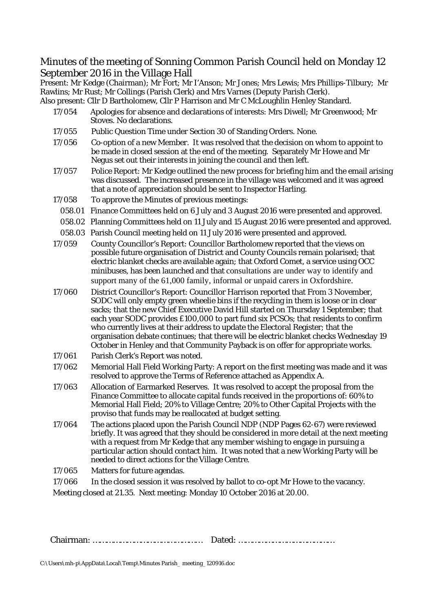## Minutes of the meeting of Sonning Common Parish Council held on Monday 12 September 2016 in the Village Hall

Present: Mr Kedge (Chairman); Mr Fort; Mr I'Anson; Mr Jones; Mrs Lewis; Mrs Phillips-Tilbury; Mr Rawlins; Mr Rust; Mr Collings (Parish Clerk) and Mrs Varnes (Deputy Parish Clerk).

Also present: Cllr D Bartholomew, Cllr P Harrison and Mr C McLoughlin Henley Standard.

- 17/054 Apologies for absence and declarations of interests: Mrs Diwell; Mr Greenwood; Mr Stoves. No declarations.
- 17/055 Public Question Time under Section 30 of Standing Orders. None.
- 17/056 Co-option of a new Member. It was resolved that the decision on whom to appoint to be made in closed session at the end of the meeting. Separately Mr Howe and Mr Negus set out their interests in joining the council and then left.
- 17/057 Police Report: Mr Kedge outlined the new process for briefing him and the email arising was discussed. The increased presence in the village was welcomed and it was agreed that a note of appreciation should be sent to Inspector Harling.
- 17/058 To approve the Minutes of previous meetings:
	- 058.01 Finance Committees held on 6 July and 3 August 2016 were presented and approved.
	- 058.02 Planning Committees held on 11 July and 15 August 2016 were presented and approved.
	- 058.03 Parish Council meeting held on 11 July 2016 were presented and approved.
- 17/059 County Councillor's Report: Councillor Bartholomew reported that the views on possible future organisation of District and County Councils remain polarised; that electric blanket checks are available again; that Oxford Comet, a service using OCC minibuses, has been launched and that consultations are under way to identify and support many of the 61,000 family, informal or unpaid carers in Oxfordshire.
- 17/060 District Councillor's Report: Councillor Harrison reported that From 3 November, SODC will only empty green wheelie bins if the recycling in them is loose or in clear sacks; that the new Chief Executive David Hill started on Thursday 1 September; that each year SODC provides £100,000 to part fund six PCSOs; that residents to confirm who currently lives at their address to update the Electoral Register; that the organisation debate continues; that there will be electric blanket checks Wednesday 19 October in Henley and that Community Payback is on offer for appropriate works.
- 17/061 Parish Clerk's Report was noted.
- 17/062 Memorial Hall Field Working Party: A report on the first meeting was made and it was resolved to approve the Terms of Reference attached as Appendix A.
- 17/063 Allocation of Earmarked Reserves. It was resolved to accept the proposal from the Finance Committee to allocate capital funds received in the proportions of: 60% to Memorial Hall Field; 20% to Village Centre; 20% to Other Capital Projects with the proviso that funds may be reallocated at budget setting.
- 17/064 The actions placed upon the Parish Council NDP (NDP Pages 62-67) were reviewed briefly. It was agreed that they should be considered in more detail at the next meeting with a request from Mr Kedge that any member wishing to engage in pursuing a particular action should contact him. It was noted that a new Working Party will be needed to direct actions for the Village Centre.
- 17/065 Matters for future agendas.
- 17/066 In the closed session it was resolved by ballot to co-opt Mr Howe to the vacancy.

Meeting closed at 21.35. Next meeting: Monday 10 October 2016 at 20.00.

Chairman: ………………………………………… Dated: ……………………………………

C:\Users\mh-p\AppData\Local\Temp\Minutes Parish\_ meeting\_120916.doc